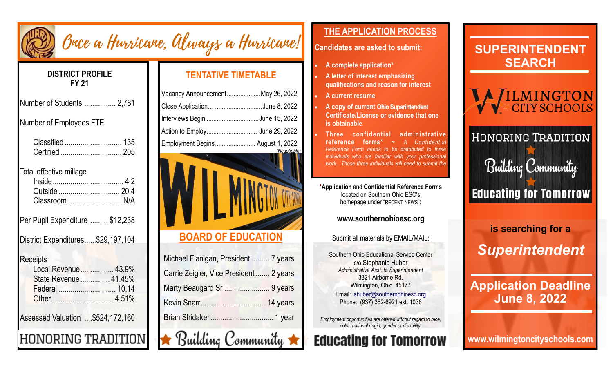

# Buce a Hurricane, Always a Hurricane!

#### **DISTRICT PROFILE FY 21**

| Number of Students  2,781                                                        |  |
|----------------------------------------------------------------------------------|--|
| <b>Number of Employees FTE</b>                                                   |  |
| Certified  205                                                                   |  |
| Total effective millage<br>Classroom  N/A                                        |  |
| Per Pupil Expenditure \$12,238                                                   |  |
| District Expenditures\$29,197,104                                                |  |
| <b>Receipts</b><br>Local Revenue 43.9%<br>State Revenue 41.45%<br>Federal  10.14 |  |
| Assessed Valuation  \$524,172,160                                                |  |
| DNORING TRADITI                                                                  |  |

## **TENTATIVE TIMETABLE**

| Vacancy AnnouncementMay 26, 2022 |              |
|----------------------------------|--------------|
| Close Application June 8, 2022   |              |
| Interviews Begin June 15, 2022   |              |
| Action to Employ June 29, 2022   |              |
| Employment Begins August 1, 2022 |              |
|                                  | (Negotiable) |



# **BOARD OF EDUCATION**

| Michael Flanigan, President  7 years     |
|------------------------------------------|
| Carrie Zeigler, Vice President  2 years  |
| Marty Beaugard Sr  9 years               |
|                                          |
|                                          |
| $\bigstar$ Building Community $\bigstar$ |

### **THE APPLICATION PROCESS**

#### **Candidates are asked to submit:**

- **A complete application\***
- **A letter of interest emphasizing qualifications and reason for interest**
- **A current resume**
- A copy of current Ohio Superintendent **Certificate/License or evidence that one is obtainable**
- **Three confidential administrative reference forms\* ~** *A Confidential Reference Form needs to be distributed to three individuals who are familiar with your professiona work. Those three individuals will need to submit the*

**\*Application** and **Confidential Reference Forms** located on Southern Ohio ESC's homepage under "RECENT NEWS":

#### **www.southernohioesc.org**

Submit all materials by EMAIL/MAIL:

Southern Ohio Educational Service Center c/o Stephanie Huber *Administrative Asst. to Superintendent* 3321 Airborne Rd. Wilmington, Ohio 45177 Email: shuber@southernohioesc.org Phone: (937) 382-6921 ext. 1036

*Employment opportunities are offered without regard to race, color, national origin, gender or disability.*

# **Educating for Tomorrow**



# *Superintendent*

# **Application Deadline June 8, 2022**

**www.wilmingtoncityschools.com**